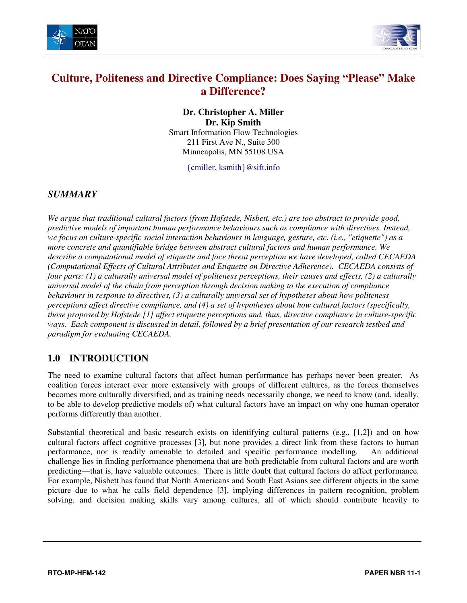



# **Culture, Politeness and Directive Compliance: Does Saying "Please" Make a Difference?**

**Dr. Christopher A. Miller Dr. Kip Smith**  Smart Information Flow Technologies 211 First Ave N., Suite 300 Minneapolis, MN 55108 USA

{cmiller, ksmith}@sift.info

#### *SUMMARY*

*We argue that traditional cultural factors (from Hofstede, Nisbett, etc.) are too abstract to provide good, predictive models of important human performance behaviours such as compliance with directives. Instead, we focus on culture-specific social interaction behaviours in language, gesture, etc. (i.e., "etiquette") as a more concrete and quantifiable bridge between abstract cultural factors and human performance. We describe a computational model of etiquette and face threat perception we have developed, called CECAEDA (Computational Effects of Cultural Attributes and Etiquette on Directive Adherence). CECAEDA consists of four parts: (1) a culturally universal model of politeness perceptions, their causes and effects, (2) a culturally universal model of the chain from perception through decision making to the execution of compliance behaviours in response to directives, (3) a culturally universal set of hypotheses about how politeness perceptions affect directive compliance, and (4) a set of hypotheses about how cultural factors (specifically, those proposed by Hofstede [1] affect etiquette perceptions and, thus, directive compliance in culture-specific ways. Each component is discussed in detail, followed by a brief presentation of our research testbed and paradigm for evaluating CECAEDA.* 

### **1.0 INTRODUCTION**

The need to examine cultural factors that affect human performance has perhaps never been greater. As coalition forces interact ever more extensively with groups of different cultures, as the forces themselves becomes more culturally diversified, and as training needs necessarily change, we need to know (and, ideally, to be able to develop predictive models of) what cultural factors have an impact on why one human operator performs differently than another.

Substantial theoretical and basic research exists on identifying cultural patterns (e.g., [1,2]) and on how cultural factors affect cognitive processes [3], but none provides a direct link from these factors to human performance, nor is readily amenable to detailed and specific performance modelling. An additional challenge lies in finding performance phenomena that are both predictable from cultural factors and are worth predicting—that is, have valuable outcomes. There is little doubt that cultural factors do affect performance. For example, Nisbett has found that North Americans and South East Asians see different objects in the same picture due to what he calls field dependence [3], implying differences in pattern recognition, problem solving, and decision making skills vary among cultures, all of which should contribute heavily to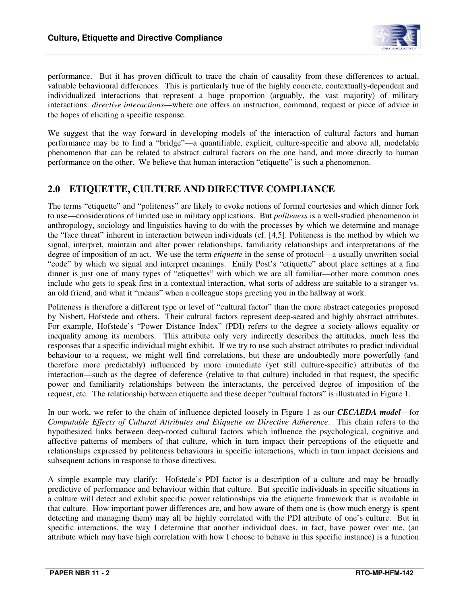

performance. But it has proven difficult to trace the chain of causality from these differences to actual, valuable behavioural differences. This is particularly true of the highly concrete, contextually-dependent and individualized interactions that represent a huge proportion (arguably, the vast majority) of military interactions: *directive interactions*—where one offers an instruction, command, request or piece of advice in the hopes of eliciting a specific response.

We suggest that the way forward in developing models of the interaction of cultural factors and human performance may be to find a "bridge"—a quantifiable, explicit, culture-specific and above all, modelable phenomenon that can be related to abstract cultural factors on the one hand, and more directly to human performance on the other. We believe that human interaction "etiquette" is such a phenomenon.

### **2.0 ETIQUETTE, CULTURE AND DIRECTIVE COMPLIANCE**

The terms "etiquette" and "politeness" are likely to evoke notions of formal courtesies and which dinner fork to use—considerations of limited use in military applications. But *politeness* is a well-studied phenomenon in anthropology, sociology and linguistics having to do with the processes by which we determine and manage the "face threat" inherent in interaction between individuals (cf. [4,5]. Politeness is the method by which we signal, interpret, maintain and alter power relationships, familiarity relationships and interpretations of the degree of imposition of an act. We use the term *etiquette* in the sense of protocol—a usually unwritten social "code" by which we signal and interpret meanings. Emily Post's "etiquette" about place settings at a fine dinner is just one of many types of "etiquettes" with which we are all familiar—other more common ones include who gets to speak first in a contextual interaction, what sorts of address are suitable to a stranger vs. an old friend, and what it "means" when a colleague stops greeting you in the hallway at work.

Politeness is therefore a different type or level of "cultural factor" than the more abstract categories proposed by Nisbett, Hofstede and others. Their cultural factors represent deep-seated and highly abstract attributes. For example, Hofstede's "Power Distance Index" (PDI) refers to the degree a society allows equality or inequality among its members. This attribute only very indirectly describes the attitudes, much less the responses that a specific individual might exhibit. If we try to use such abstract attributes to predict individual behaviour to a request, we might well find correlations, but these are undoubtedly more powerfully (and therefore more predictably) influenced by more immediate (yet still culture-specific) attributes of the interaction—such as the degree of deference (relative to that culture) included in that request, the specific power and familiarity relationships between the interactants, the perceived degree of imposition of the request, etc. The relationship between etiquette and these deeper "cultural factors" is illustrated in Figure 1.

In our work, we refer to the chain of influence depicted loosely in Figure 1 as our *CECAEDA model*—for *Computable Effects of Cultural Attributes and Etiquette on Directive Adherence*. This chain refers to the hypothesized links between deep-rooted cultural factors which influence the psychological, cognitive and affective patterns of members of that culture, which in turn impact their perceptions of the etiquette and relationships expressed by politeness behaviours in specific interactions, which in turn impact decisions and subsequent actions in response to those directives.

A simple example may clarify: Hofstede's PDI factor is a description of a culture and may be broadly predictive of performance and behaviour within that culture. But specific individuals in specific situations in a culture will detect and exhibit specific power relationships via the etiquette framework that is available in that culture. How important power differences are, and how aware of them one is (how much energy is spent detecting and managing them) may all be highly correlated with the PDI attribute of one's culture. But in specific interactions, the way I determine that another individual does, in fact, have power over me, (an attribute which may have high correlation with how I choose to behave in this specific instance) is a function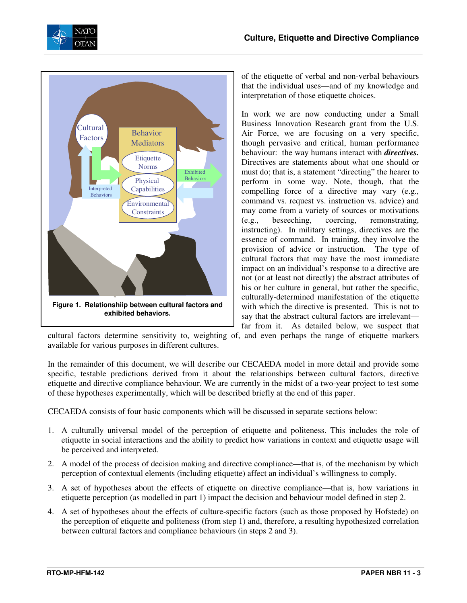



of the etiquette of verbal and non-verbal behaviours that the individual uses—and of my knowledge and interpretation of those etiquette choices.

In work we are now conducting under a Small Business Innovation Research grant from the U.S. Air Force, we are focusing on a very specific, though pervasive and critical, human performance behaviour: the way humans interact with *directives.* Directives are statements about what one should or must do; that is, a statement "directing" the hearer to perform in some way. Note, though, that the compelling force of a directive may vary (e.g., command vs. request vs. instruction vs. advice) and may come from a variety of sources or motivations (e.g., beseeching, coercing, remonstrating, instructing). In military settings, directives are the essence of command. In training, they involve the provision of advice or instruction. The type of cultural factors that may have the most immediate impact on an individual's response to a directive are not (or at least not directly) the abstract attributes of his or her culture in general, but rather the specific, culturally-determined manifestation of the etiquette with which the directive is presented. This is not to say that the abstract cultural factors are irrelevant far from it. As detailed below, we suspect that

cultural factors determine sensitivity to, weighting of, and even perhaps the range of etiquette markers available for various purposes in different cultures.

In the remainder of this document, we will describe our CECAEDA model in more detail and provide some specific, testable predictions derived from it about the relationships between cultural factors, directive etiquette and directive compliance behaviour. We are currently in the midst of a two-year project to test some of these hypotheses experimentally, which will be described briefly at the end of this paper.

CECAEDA consists of four basic components which will be discussed in separate sections below:

- 1. A culturally universal model of the perception of etiquette and politeness. This includes the role of etiquette in social interactions and the ability to predict how variations in context and etiquette usage will be perceived and interpreted.
- 2. A model of the process of decision making and directive compliance—that is, of the mechanism by which perception of contextual elements (including etiquette) affect an individual's willingness to comply.
- 3. A set of hypotheses about the effects of etiquette on directive compliance—that is, how variations in etiquette perception (as modelled in part 1) impact the decision and behaviour model defined in step 2.
- 4. A set of hypotheses about the effects of culture-specific factors (such as those proposed by Hofstede) on the perception of etiquette and politeness (from step 1) and, therefore, a resulting hypothesized correlation between cultural factors and compliance behaviours (in steps 2 and 3).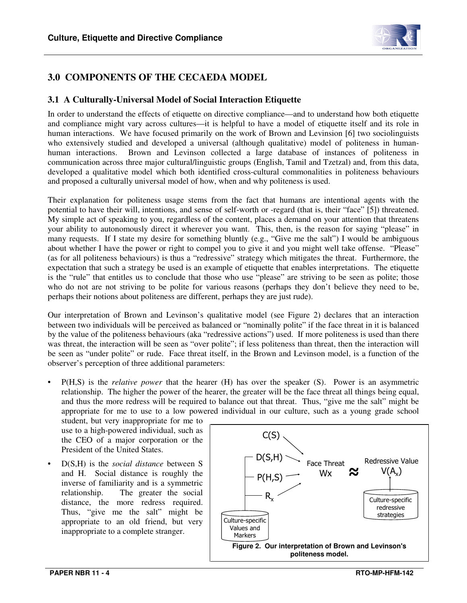

## **3.0 COMPONENTS OF THE CECAEDA MODEL**

#### **3.1 A Culturally-Universal Model of Social Interaction Etiquette**

In order to understand the effects of etiquette on directive compliance—and to understand how both etiquette and compliance might vary across cultures—it is helpful to have a model of etiquette itself and its role in human interactions. We have focused primarily on the work of Brown and Levinsion [6] two sociolinguists who extensively studied and developed a universal (although qualitative) model of politeness in humanhuman interactions. Brown and Levinson collected a large database of instances of politeness in communication across three major cultural/linguistic groups (English, Tamil and Tzetzal) and, from this data, developed a qualitative model which both identified cross-cultural commonalities in politeness behaviours and proposed a culturally universal model of how, when and why politeness is used.

Their explanation for politeness usage stems from the fact that humans are intentional agents with the potential to have their will, intentions, and sense of self-worth or -regard (that is, their "face" [5]) threatened. My simple act of speaking to you, regardless of the content, places a demand on your attention that threatens your ability to autonomously direct it wherever you want. This, then, is the reason for saying "please" in many requests. If I state my desire for something bluntly (e.g., "Give me the salt") I would be ambiguous about whether I have the power or right to compel you to give it and you might well take offense. "Please" (as for all politeness behaviours) is thus a "redressive" strategy which mitigates the threat. Furthermore, the expectation that such a strategy be used is an example of etiquette that enables interpretations. The etiquette is the "rule" that entitles us to conclude that those who use "please" are striving to be seen as polite; those who do not are not striving to be polite for various reasons (perhaps they don't believe they need to be, perhaps their notions about politeness are different, perhaps they are just rude).

Our interpretation of Brown and Levinson's qualitative model (see Figure 2) declares that an interaction between two individuals will be perceived as balanced or "nominally polite" if the face threat in it is balanced by the value of the politeness behaviours (aka "redressive actions") used. If more politeness is used than there was threat, the interaction will be seen as "over polite"; if less politeness than threat, then the interaction will be seen as "under polite" or rude. Face threat itself, in the Brown and Levinson model, is a function of the observer's perception of three additional parameters:

• P(H,S) is the *relative power* that the hearer (H) has over the speaker (S). Power is an asymmetric relationship. The higher the power of the hearer, the greater will be the face threat all things being equal, and thus the more redress will be required to balance out that threat. Thus, "give me the salt" might be appropriate for me to use to a low powered individual in our culture, such as a young grade school

student, but very inappropriate for me to use to a high-powered individual, such as the CEO of a major corporation or the President of the United States.

• D(S,H) is the *social distance* between S and H. Social distance is roughly the inverse of familiarity and is a symmetric relationship. The greater the social distance, the more redress required. Thus, "give me the salt" might be appropriate to an old friend, but very inappropriate to a complete stranger.

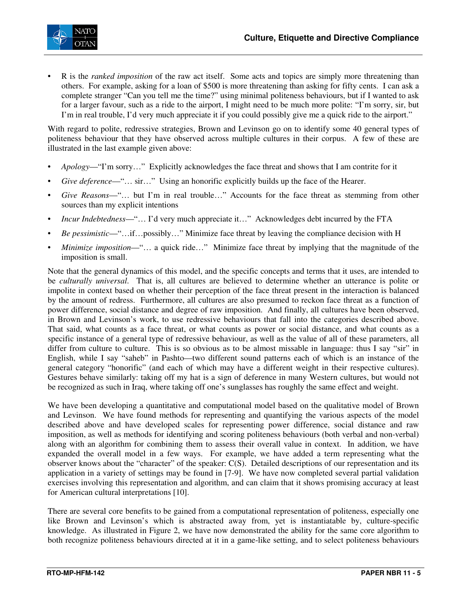

• R is the *ranked imposition* of the raw act itself. Some acts and topics are simply more threatening than others. For example, asking for a loan of \$500 is more threatening than asking for fifty cents. I can ask a complete stranger "Can you tell me the time?" using minimal politeness behaviours, but if I wanted to ask for a larger favour, such as a ride to the airport, I might need to be much more polite: "I'm sorry, sir, but I'm in real trouble, I'd very much appreciate it if you could possibly give me a quick ride to the airport."

With regard to polite, redressive strategies, Brown and Levinson go on to identify some 40 general types of politeness behaviour that they have observed across multiple cultures in their corpus. A few of these are illustrated in the last example given above:

- *Apology*—"I'm sorry…" Explicitly acknowledges the face threat and shows that I am contrite for it
- *Give deference*—"… sir…" Using an honorific explicitly builds up the face of the Hearer.
- *Give Reasons*—"… but I'm in real trouble…" Accounts for the face threat as stemming from other sources than my explicit intentions
- *Incur Indebtedness*—"… I'd very much appreciate it…" Acknowledges debt incurred by the FTA
- *Be pessimistic*—"…if…possibly…" Minimize face threat by leaving the compliance decision with H
- *Minimize imposition*—"… a quick ride…" Minimize face threat by implying that the magnitude of the imposition is small.

Note that the general dynamics of this model, and the specific concepts and terms that it uses, are intended to be *culturally universal*. That is, all cultures are believed to determine whether an utterance is polite or impolite in context based on whether their perception of the face threat present in the interaction is balanced by the amount of redress. Furthermore, all cultures are also presumed to reckon face threat as a function of power difference, social distance and degree of raw imposition. And finally, all cultures have been observed, in Brown and Levinson's work, to use redressive behaviours that fall into the categories described above. That said, what counts as a face threat, or what counts as power or social distance, and what counts as a specific instance of a general type of redressive behaviour, as well as the value of all of these parameters, all differ from culture to culture. This is so obvious as to be almost missable in language: thus I say "sir" in English, while I say "saheb" in Pashto—two different sound patterns each of which is an instance of the general category "honorific" (and each of which may have a different weight in their respective cultures). Gestures behave similarly: taking off my hat is a sign of deference in many Western cultures, but would not be recognized as such in Iraq, where taking off one's sunglasses has roughly the same effect and weight.

We have been developing a quantitative and computational model based on the qualitative model of Brown and Levinson. We have found methods for representing and quantifying the various aspects of the model described above and have developed scales for representing power difference, social distance and raw imposition, as well as methods for identifying and scoring politeness behaviours (both verbal and non-verbal) along with an algorithm for combining them to assess their overall value in context. In addition, we have expanded the overall model in a few ways. For example, we have added a term representing what the observer knows about the "character" of the speaker: C(S). Detailed descriptions of our representation and its application in a variety of settings may be found in [7-9]. We have now completed several partial validation exercises involving this representation and algorithm, and can claim that it shows promising accuracy at least for American cultural interpretations [10].

There are several core benefits to be gained from a computational representation of politeness, especially one like Brown and Levinson's which is abstracted away from, yet is instantiatable by, culture-specific knowledge. As illustrated in Figure 2, we have now demonstrated the ability for the same core algorithm to both recognize politeness behaviours directed at it in a game-like setting, and to select politeness behaviours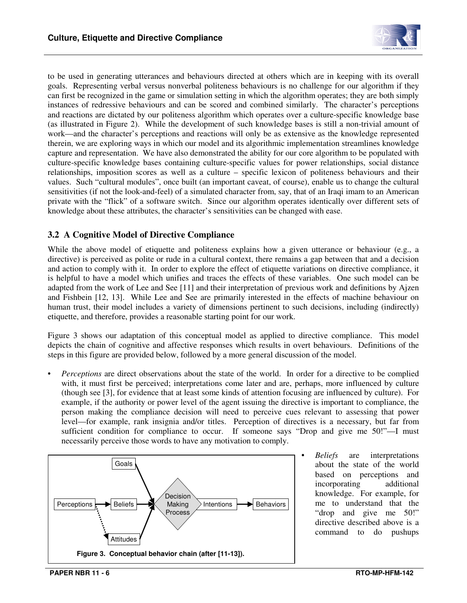

to be used in generating utterances and behaviours directed at others which are in keeping with its overall goals. Representing verbal versus nonverbal politeness behaviours is no challenge for our algorithm if they can first be recognized in the game or simulation setting in which the algorithm operates; they are both simply instances of redressive behaviours and can be scored and combined similarly. The character's perceptions and reactions are dictated by our politeness algorithm which operates over a culture-specific knowledge base (as illustrated in Figure 2). While the development of such knowledge bases is still a non-trivial amount of work—and the character's perceptions and reactions will only be as extensive as the knowledge represented therein, we are exploring ways in which our model and its algorithmic implementation streamlines knowledge capture and representation. We have also demonstrated the ability for our core algorithm to be populated with culture-specific knowledge bases containing culture-specific values for power relationships, social distance relationships, imposition scores as well as a culture – specific lexicon of politeness behaviours and their values. Such "cultural modules", once built (an important caveat, of course), enable us to change the cultural sensitivities (if not the look-and-feel) of a simulated character from, say, that of an Iraqi imam to an American private with the "flick" of a software switch. Since our algorithm operates identically over different sets of knowledge about these attributes, the character's sensitivities can be changed with ease.

#### **3.2 A Cognitive Model of Directive Compliance**

While the above model of etiquette and politeness explains how a given utterance or behaviour (e.g., a directive) is perceived as polite or rude in a cultural context, there remains a gap between that and a decision and action to comply with it. In order to explore the effect of etiquette variations on directive compliance, it is helpful to have a model which unifies and traces the effects of these variables. One such model can be adapted from the work of Lee and See [11] and their interpretation of previous work and definitions by Ajzen and Fishbein [12, 13]. While Lee and See are primarily interested in the effects of machine behaviour on human trust, their model includes a variety of dimensions pertinent to such decisions, including (indirectly) etiquette, and therefore, provides a reasonable starting point for our work.

Figure 3 shows our adaptation of this conceptual model as applied to directive compliance. This model depicts the chain of cognitive and affective responses which results in overt behaviours. Definitions of the steps in this figure are provided below, followed by a more general discussion of the model.

• *Perceptions* are direct observations about the state of the world. In order for a directive to be complied with, it must first be perceived; interpretations come later and are, perhaps, more influenced by culture (though see [3], for evidence that at least some kinds of attention focusing are influenced by culture). For example, if the authority or power level of the agent issuing the directive is important to compliance, the person making the compliance decision will need to perceive cues relevant to assessing that power level—for example, rank insignia and/or titles. Perception of directives is a necessary, but far from sufficient condition for compliance to occur. If someone says "Drop and give me 50!"—I must necessarily perceive those words to have any motivation to comply.



• *Beliefs* are interpretations about the state of the world based on perceptions and incorporating additional knowledge. For example, for me to understand that the "drop and give me 50!" directive described above is a command to do pushups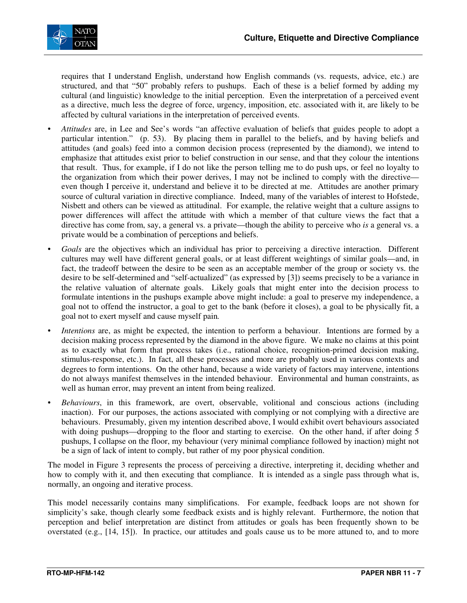

requires that I understand English, understand how English commands (vs. requests, advice, etc.) are structured, and that "50" probably refers to pushups. Each of these is a belief formed by adding my cultural (and linguistic) knowledge to the initial perception. Even the interpretation of a perceived event as a directive, much less the degree of force, urgency, imposition, etc. associated with it, are likely to be affected by cultural variations in the interpretation of perceived events.

- *Attitudes* are, in Lee and See's words "an affective evaluation of beliefs that guides people to adopt a particular intention." (p. 53). By placing them in parallel to the beliefs, and by having beliefs and attitudes (and goals) feed into a common decision process (represented by the diamond), we intend to emphasize that attitudes exist prior to belief construction in our sense, and that they colour the intentions that result. Thus, for example, if I do not like the person telling me to do push ups, or feel no loyalty to the organization from which their power derives, I may not be inclined to comply with the directive even though I perceive it, understand and believe it to be directed at me. Attitudes are another primary source of cultural variation in directive compliance. Indeed, many of the variables of interest to Hofstede, Nisbett and others can be viewed as attitudinal. For example, the relative weight that a culture assigns to power differences will affect the attitude with which a member of that culture views the fact that a directive has come from, say, a general vs. a private—though the ability to perceive who *is* a general vs. a private would be a combination of perceptions and beliefs.
- *Goals* are the objectives which an individual has prior to perceiving a directive interaction. Different cultures may well have different general goals, or at least different weightings of similar goals—and, in fact, the tradeoff between the desire to be seen as an acceptable member of the group or society vs. the desire to be self-determined and "self-actualized" (as expressed by [3]) seems precisely to be a variance in the relative valuation of alternate goals. Likely goals that might enter into the decision process to formulate intentions in the pushups example above might include: a goal to preserve my independence, a goal not to offend the instructor, a goal to get to the bank (before it closes), a goal to be physically fit, a goal not to exert myself and cause myself pain*.*
- *Intentions* are, as might be expected, the intention to perform a behaviour. Intentions are formed by a decision making process represented by the diamond in the above figure. We make no claims at this point as to exactly what form that process takes (i.e., rational choice, recognition-primed decision making, stimulus-response, etc.). In fact, all these processes and more are probably used in various contexts and degrees to form intentions. On the other hand, because a wide variety of factors may intervene, intentions do not always manifest themselves in the intended behaviour. Environmental and human constraints, as well as human error, may prevent an intent from being realized.
- *Behaviours*, in this framework, are overt, observable, volitional and conscious actions (including inaction). For our purposes, the actions associated with complying or not complying with a directive are behaviours. Presumably, given my intention described above, I would exhibit overt behaviours associated with doing pushups—dropping to the floor and starting to exercise. On the other hand, if after doing 5 pushups, I collapse on the floor, my behaviour (very minimal compliance followed by inaction) might not be a sign of lack of intent to comply, but rather of my poor physical condition.

The model in Figure 3 represents the process of perceiving a directive, interpreting it, deciding whether and how to comply with it, and then executing that compliance. It is intended as a single pass through what is, normally, an ongoing and iterative process.

This model necessarily contains many simplifications. For example, feedback loops are not shown for simplicity's sake, though clearly some feedback exists and is highly relevant. Furthermore, the notion that perception and belief interpretation are distinct from attitudes or goals has been frequently shown to be overstated (e.g., [14, 15]). In practice, our attitudes and goals cause us to be more attuned to, and to more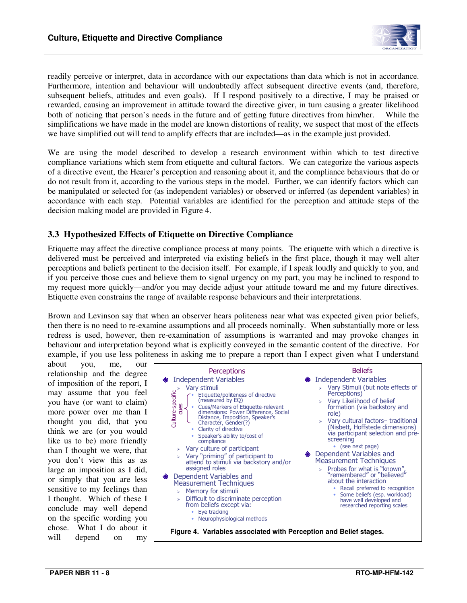

readily perceive or interpret, data in accordance with our expectations than data which is not in accordance. Furthermore, intention and behaviour will undoubtedly affect subsequent directive events (and, therefore, subsequent beliefs, attitudes and even goals). If I respond positively to a directive, I may be praised or rewarded, causing an improvement in attitude toward the directive giver, in turn causing a greater likelihood both of noticing that person's needs in the future and of getting future directives from him/her. While the simplifications we have made in the model are known distortions of reality, we suspect that most of the effects we have simplified out will tend to amplify effects that are included—as in the example just provided.

We are using the model described to develop a research environment within which to test directive compliance variations which stem from etiquette and cultural factors. We can categorize the various aspects of a directive event, the Hearer's perception and reasoning about it, and the compliance behaviours that do or do not result from it, according to the various steps in the model. Further, we can identify factors which can be manipulated or selected for (as independent variables) or observed or inferred (as dependent variables) in accordance with each step. Potential variables are identified for the perception and attitude steps of the decision making model are provided in Figure 4.

#### **3.3 Hypothesized Effects of Etiquette on Directive Compliance**

Etiquette may affect the directive compliance process at many points. The etiquette with which a directive is delivered must be perceived and interpreted via existing beliefs in the first place, though it may well alter perceptions and beliefs pertinent to the decision itself. For example, if I speak loudly and quickly to you, and if you perceive those cues and believe them to signal urgency on my part, you may be inclined to respond to my request more quickly—and/or you may decide adjust your attitude toward me and my future directives. Etiquette even constrains the range of available response behaviours and their interpretations.

Brown and Levinson say that when an observer hears politeness near what was expected given prior beliefs, then there is no need to re-examine assumptions and all proceeds nominally. When substantially more or less redress is used, however, then re-examination of assumptions is warranted and may provoke changes in behaviour and interpretation beyond what is explicitly conveyed in the semantic content of the directive. For example, if you use less politeness in asking me to prepare a report than I expect given what I understand

about you, me, relationship and the degree of imposition of the report, I may assume that you feel you have (or want to claim) more power over me than I thought you did, that you think we are (or you would like us to be) more friendly than I thought we were, that you don't view this as as large an imposition as I did, or simply that you are less sensitive to my feelings than I thought. Which of these I conclude may well depend on the specific wording you chose. What I do about it will depend on my

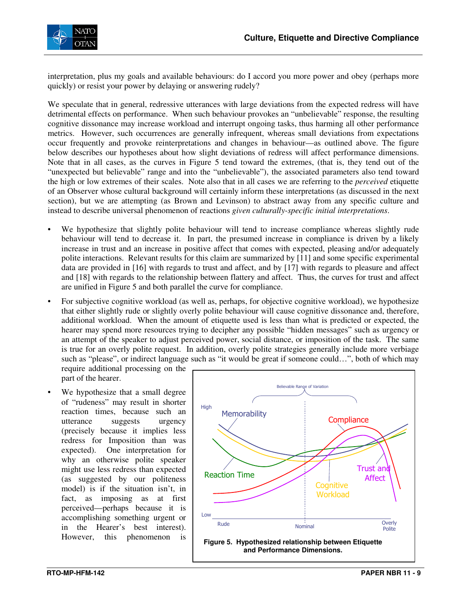

interpretation, plus my goals and available behaviours: do I accord you more power and obey (perhaps more quickly) or resist your power by delaying or answering rudely?

We speculate that in general, redressive utterances with large deviations from the expected redress will have detrimental effects on performance. When such behaviour provokes an "unbelievable" response, the resulting cognitive dissonance may increase workload and interrupt ongoing tasks, thus harming all other performance metrics. However, such occurrences are generally infrequent, whereas small deviations from expectations occur frequently and provoke reinterpretations and changes in behaviour—as outlined above. The figure below describes our hypotheses about how slight deviations of redress will affect performance dimensions. Note that in all cases, as the curves in Figure 5 tend toward the extremes, (that is, they tend out of the "unexpected but believable" range and into the "unbelievable"), the associated parameters also tend toward the high or low extremes of their scales. Note also that in all cases we are referring to the *perceived* etiquette of an Observer whose cultural background will certainly inform these interpretations (as discussed in the next section), but we are attempting (as Brown and Levinson) to abstract away from any specific culture and instead to describe universal phenomenon of reactions *given culturally-specific initial interpretations*.

- We hypothesize that slightly polite behaviour will tend to increase compliance whereas slightly rude behaviour will tend to decrease it. In part, the presumed increase in compliance is driven by a likely increase in trust and an increase in positive affect that comes with expected, pleasing and/or adequately polite interactions. Relevant results for this claim are summarized by [11] and some specific experimental data are provided in [16] with regards to trust and affect, and by [17] with regards to pleasure and affect and [18] with regards to the relationship between flattery and affect. Thus, the curves for trust and affect are unified in Figure 5 and both parallel the curve for compliance.
- For subjective cognitive workload (as well as, perhaps, for objective cognitive workload), we hypothesize that either slightly rude or slightly overly polite behaviour will cause cognitive dissonance and, therefore, additional workload. When the amount of etiquette used is less than what is predicted or expected, the hearer may spend more resources trying to decipher any possible "hidden messages" such as urgency or an attempt of the speaker to adjust perceived power, social distance, or imposition of the task. The same is true for an overly polite request. In addition, overly polite strategies generally include more verbiage such as "please", or indirect language such as "it would be great if someone could…", both of which may

require additional processing on the part of the hearer.

We hypothesize that a small degree of "rudeness" may result in shorter reaction times, because such an utterance suggests urgency (precisely because it implies less redress for Imposition than was expected). One interpretation for why an otherwise polite speaker might use less redress than expected (as suggested by our politeness model) is if the situation isn't, in fact, as imposing as at first perceived—perhaps because it is accomplishing something urgent or in the Hearer's best interest). However, this phenomenon is

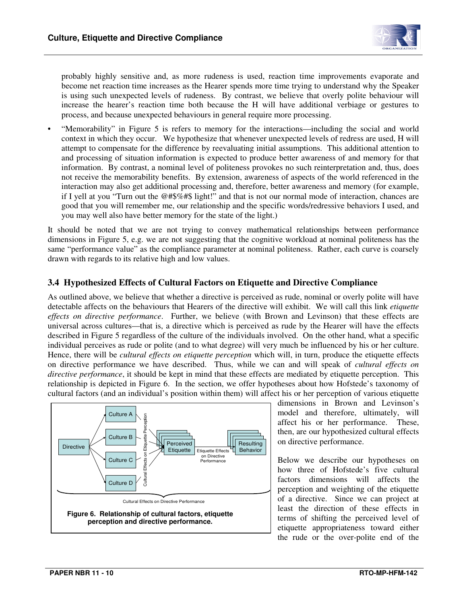

probably highly sensitive and, as more rudeness is used, reaction time improvements evaporate and become net reaction time increases as the Hearer spends more time trying to understand why the Speaker is using such unexpected levels of rudeness. By contrast, we believe that overly polite behaviour will increase the hearer's reaction time both because the H will have additional verbiage or gestures to process, and because unexpected behaviours in general require more processing.

• "Memorability" in Figure 5 is refers to memory for the interactions—including the social and world context in which they occur. We hypothesize that whenever unexpected levels of redress are used, H will attempt to compensate for the difference by reevaluating initial assumptions. This additional attention to and processing of situation information is expected to produce better awareness of and memory for that information. By contrast, a nominal level of politeness provokes no such reinterpretation and, thus, does not receive the memorability benefits. By extension, awareness of aspects of the world referenced in the interaction may also get additional processing and, therefore, better awareness and memory (for example, if I yell at you "Turn out the @#\$%#\$ light!" and that is not our normal mode of interaction, chances are good that you will remember me, our relationship and the specific words/redressive behaviors I used, and you may well also have better memory for the state of the light.)

It should be noted that we are not trying to convey mathematical relationships between performance dimensions in Figure 5, e.g. we are not suggesting that the cognitive workload at nominal politeness has the same "performance value" as the compliance parameter at nominal politeness. Rather, each curve is coarsely drawn with regards to its relative high and low values.

#### **3.4 Hypothesized Effects of Cultural Factors on Etiquette and Directive Compliance**

As outlined above, we believe that whether a directive is perceived as rude, nominal or overly polite will have detectable affects on the behaviours that Hearers of the directive will exhibit. We will call this link *etiquette effects on directive performance*. Further, we believe (with Brown and Levinson) that these effects are universal across cultures—that is, a directive which is perceived as rude by the Hearer will have the effects described in Figure 5 regardless of the culture of the individuals involved. On the other hand, what a specific individual perceives as rude or polite (and to what degree) will very much be influenced by his or her culture. Hence, there will be *cultural effects on etiquette perception* which will, in turn, produce the etiquette effects on directive performance we have described. Thus, while we can and will speak of *cultural effects on directive performance*, it should be kept in mind that these effects are mediated by etiquette perception. This relationship is depicted in Figure 6. In the section, we offer hypotheses about how Hofstede's taxonomy of cultural factors (and an individual's position within them) will affect his or her perception of various etiquette



dimensions in Brown and Levinson's model and therefore, ultimately, will affect his or her performance. These, then, are our hypothesized cultural effects on directive performance.

Below we describe our hypotheses on how three of Hofstede's five cultural factors dimensions will affects the perception and weighting of the etiquette of a directive. Since we can project at least the direction of these effects in terms of shifting the perceived level of etiquette appropriateness toward either the rude or the over-polite end of the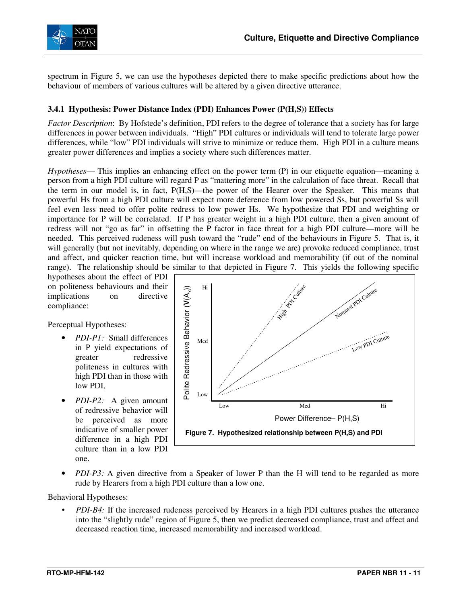

spectrum in Figure 5, we can use the hypotheses depicted there to make specific predictions about how the behaviour of members of various cultures will be altered by a given directive utterance.

#### **3.4.1 Hypothesis: Power Distance Index (PDI) Enhances Power (P(H,S)) Effects**

*Factor Description*: By Hofstede's definition, PDI refers to the degree of tolerance that a society has for large differences in power between individuals. "High" PDI cultures or individuals will tend to tolerate large power differences, while "low" PDI individuals will strive to minimize or reduce them. High PDI in a culture means greater power differences and implies a society where such differences matter.

*Hypotheses*— This implies an enhancing effect on the power term (P) in our etiquette equation—meaning a person from a high PDI culture will regard P as "mattering more" in the calculation of face threat. Recall that the term in our model is, in fact, P(H,S)—the power of the Hearer over the Speaker. This means that powerful Hs from a high PDI culture will expect more deference from low powered Ss, but powerful Ss will feel even less need to offer polite redress to low power Hs. We hypothesize that PDI and weighting or importance for P will be correlated. If P has greater weight in a high PDI culture, then a given amount of redress will not "go as far" in offsetting the P factor in face threat for a high PDI culture—more will be needed. This perceived rudeness will push toward the "rude" end of the behaviours in Figure 5. That is, it will generally (but not inevitably, depending on where in the range we are) provoke reduced compliance, trust and affect, and quicker reaction time, but will increase workload and memorability (if out of the nominal range). The relationship should be similar to that depicted in Figure 7. This yields the following specific

hypotheses about the effect of PDI on politeness behaviours and their implications on directive compliance:

Perceptual Hypotheses:

- *PDI-P1:* Small differences in P yield expectations of greater redressive politeness in cultures with high PDI than in those with low PDI,
- *PDI-P2:* A given amount of redressive behavior will be perceived as more indicative of smaller power difference in a high PDI culture than in a low PDI one.



• *PDI-P3:* A given directive from a Speaker of lower P than the H will tend to be regarded as more rude by Hearers from a high PDI culture than a low one.

Behavioral Hypotheses:

• *PDI-B4:* If the increased rudeness perceived by Hearers in a high PDI cultures pushes the utterance into the "slightly rude" region of Figure 5, then we predict decreased compliance, trust and affect and decreased reaction time, increased memorability and increased workload.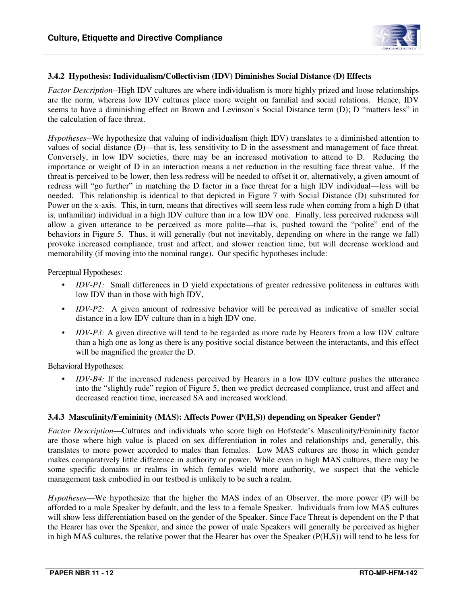

#### **3.4.2 Hypothesis: Individualism/Collectivism (IDV) Diminishes Social Distance (D) Effects**

*Factor Description*--High IDV cultures are where individualism is more highly prized and loose relationships are the norm, whereas low IDV cultures place more weight on familial and social relations. Hence, IDV seems to have a diminishing effect on Brown and Levinson's Social Distance term (D); D "matters less" in the calculation of face threat.

*Hypotheses*--We hypothesize that valuing of individualism (high IDV) translates to a diminished attention to values of social distance (D)—that is, less sensitivity to D in the assessment and management of face threat. Conversely, in low IDV societies, there may be an increased motivation to attend to D. Reducing the importance or weight of D in an interaction means a net reduction in the resulting face threat value. If the threat is perceived to be lower, then less redress will be needed to offset it or, alternatively, a given amount of redress will "go further" in matching the D factor in a face threat for a high IDV individual—less will be needed. This relationship is identical to that depicted in Figure 7 with Social Distance (D) substituted for Power on the x-axis. This, in turn, means that directives will seem less rude when coming from a high D (that is, unfamiliar) individual in a high IDV culture than in a low IDV one. Finally, less perceived rudeness will allow a given utterance to be perceived as more polite—that is, pushed toward the "polite" end of the behaviors in Figure 5. Thus, it will generally (but not inevitably, depending on where in the range we fall) provoke increased compliance, trust and affect, and slower reaction time, but will decrease workload and memorability (if moving into the nominal range). Our specific hypotheses include:

Perceptual Hypotheses:

- *IDV-P1:* Small differences in D yield expectations of greater redressive politeness in cultures with low IDV than in those with high IDV,
- *IDV-P2:* A given amount of redressive behavior will be perceived as indicative of smaller social distance in a low IDV culture than in a high IDV one.
- *IDV-P3:* A given directive will tend to be regarded as more rude by Hearers from a low IDV culture than a high one as long as there is any positive social distance between the interactants, and this effect will be magnified the greater the D.

Behavioral Hypotheses:

• *IDV-B4:* If the increased rudeness perceived by Hearers in a low IDV culture pushes the utterance into the "slightly rude" region of Figure 5, then we predict decreased compliance, trust and affect and decreased reaction time, increased SA and increased workload.

#### **3.4.3 Masculinity/Femininity (MAS): Affects Power (P(H,S)) depending on Speaker Gender?**

*Factor Description*—Cultures and individuals who score high on Hofstede's Masculinity/Femininity factor are those where high value is placed on sex differentiation in roles and relationships and, generally, this translates to more power accorded to males than females. Low MAS cultures are those in which gender makes comparatively little difference in authority or power. While even in high MAS cultures, there may be some specific domains or realms in which females wield more authority, we suspect that the vehicle management task embodied in our testbed is unlikely to be such a realm.

*Hypotheses*—We hypothesize that the higher the MAS index of an Observer, the more power (P) will be afforded to a male Speaker by default, and the less to a female Speaker. Individuals from low MAS cultures will show less differentiation based on the gender of the Speaker. Since Face Threat is dependent on the P that the Hearer has over the Speaker, and since the power of male Speakers will generally be perceived as higher in high MAS cultures, the relative power that the Hearer has over the Speaker (P(H,S)) will tend to be less for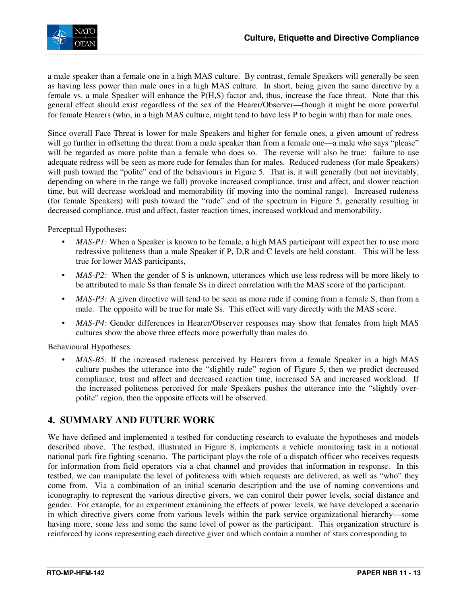a male speaker than a female one in a high MAS culture. By contrast, female Speakers will generally be seen as having less power than male ones in a high MAS culture. In short, being given the same directive by a female vs. a male Speaker will enhance the P(H,S) factor and, thus, increase the face threat. Note that this general effect should exist regardless of the sex of the Hearer/Observer—though it might be more powerful for female Hearers (who, in a high MAS culture, might tend to have less P to begin with) than for male ones.

Since overall Face Threat is lower for male Speakers and higher for female ones, a given amount of redress will go further in offsetting the threat from a male speaker than from a female one—a male who says "please" will be regarded as more polite than a female who does so. The reverse will also be true: failure to use adequate redress will be seen as more rude for females than for males. Reduced rudeness (for male Speakers) will push toward the "polite" end of the behaviours in Figure 5. That is, it will generally (but not inevitably, depending on where in the range we fall) provoke increased compliance, trust and affect, and slower reaction time, but will decrease workload and memorability (if moving into the nominal range). Increased rudeness (for female Speakers) will push toward the "rude" end of the spectrum in Figure 5, generally resulting in decreased compliance, trust and affect, faster reaction times, increased workload and memorability.

Perceptual Hypotheses:

- *MAS-P1*: When a Speaker is known to be female, a high MAS participant will expect her to use more redressive politeness than a male Speaker if P, D,R and C levels are held constant. This will be less true for lower MAS participants,
- *MAS-P2*: When the gender of S is unknown, utterances which use less redress will be more likely to be attributed to male Ss than female Ss in direct correlation with the MAS score of the participant.
- *MAS-P3*: A given directive will tend to be seen as more rude if coming from a female S, than from a male. The opposite will be true for male Ss. This effect will vary directly with the MAS score.
- *MAS-P4:* Gender differences in Hearer/Observer responses may show that females from high MAS cultures show the above three effects more powerfully than males do.

Behavioural Hypotheses:

• *MAS-B5*: If the increased rudeness perceived by Hearers from a female Speaker in a high MAS culture pushes the utterance into the "slightly rude" region of Figure 5, then we predict decreased compliance, trust and affect and decreased reaction time, increased SA and increased workload. If the increased politeness perceived for male Speakers pushes the utterance into the "slightly overpolite" region, then the opposite effects will be observed.

## **4. SUMMARY AND FUTURE WORK**

We have defined and implemented a testbed for conducting research to evaluate the hypotheses and models described above. The testbed, illustrated in Figure 8, implements a vehicle monitoring task in a notional national park fire fighting scenario. The participant plays the role of a dispatch officer who receives requests for information from field operators via a chat channel and provides that information in response. In this testbed, we can manipulate the level of politeness with which requests are delivered, as well as "who" they come from. Via a combination of an initial scenario description and the use of naming conventions and iconography to represent the various directive givers, we can control their power levels, social distance and gender. For example, for an experiment examining the effects of power levels, we have developed a scenario in which directive givers come from various levels within the park service organizational hierarchy—some having more, some less and some the same level of power as the participant. This organization structure is reinforced by icons representing each directive giver and which contain a number of stars corresponding to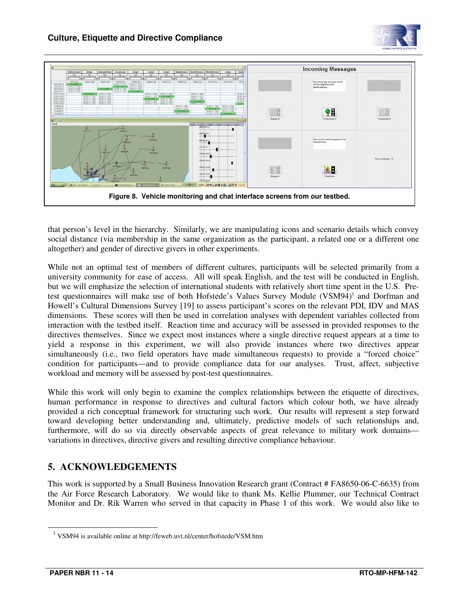



that person's level in the hierarchy. Similarly, we are manipulating icons and scenario details which convey social distance (via membership in the same organization as the participant, a related one or a different one altogether) and gender of directive givers in other experiments.

While not an optimal test of members of different cultures, participants will be selected primarily from a university community for ease of access. All will speak English, and the test will be conducted in English, but we will emphasize the selection of international students with relatively short time spent in the U.S. Pretest questionnaires will make use of both Hofstede's Values Survey Module (VSM94)<sup>1</sup> and Dorfman and Howell's Cultural Dimensions Survey [19] to assess participant's scores on the relevant PDI, IDV and MAS dimensions. These scores will then be used in correlation analyses with dependent variables collected from interaction with the testbed itself. Reaction time and accuracy will be assessed in provided responses to the directives themselves. Since we expect most instances where a single directive request appears at a time to yield a response in this experiment, we will also provide instances where two directives appear simultaneously (i.e., two field operators have made simultaneous requests) to provide a "forced choice" condition for participants—and to provide compliance data for our analyses. Trust, affect, subjective workload and memory will be assessed by post-test questionnaires.

While this work will only begin to examine the complex relationships between the etiquette of directives, human performance in response to directives and cultural factors which colour both, we have already provided a rich conceptual framework for structuring such work. Our results will represent a step forward toward developing better understanding and, ultimately, predictive models of such relationships and, furthermore, will do so via directly observable aspects of great relevance to military work domains variations in directives, directive givers and resulting directive compliance behaviour.

## **5. ACKNOWLEDGEMENTS**

This work is supported by a Small Business Innovation Research grant (Contract # FA8650-06-C-6635) from the Air Force Research Laboratory. We would like to thank Ms. Kellie Plummer, our Technical Contract Monitor and Dr. Rik Warren who served in that capacity in Phase 1 of this work. We would also like to

 $\overline{a}$ 

<sup>&</sup>lt;sup>1</sup> VSM94 is available online at http://feweb.uvt.nl/center/hofstede/VSM.htm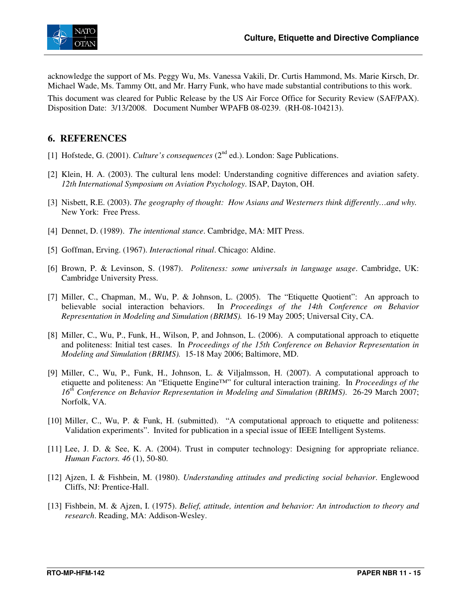

acknowledge the support of Ms. Peggy Wu, Ms. Vanessa Vakili, Dr. Curtis Hammond, Ms. Marie Kirsch, Dr. Michael Wade, Ms. Tammy Ott, and Mr. Harry Funk, who have made substantial contributions to this work.

This document was cleared for Public Release by the US Air Force Office for Security Review (SAF/PAX). Disposition Date: 3/13/2008. Document Number WPAFB 08-0239. (RH-08-104213).

### **6. REFERENCES**

- [1] Hofstede, G. (2001). *Culture's consequences* (2<sup>nd</sup> ed.). London: Sage Publications.
- [2] Klein, H. A. (2003). The cultural lens model: Understanding cognitive differences and aviation safety. *12th International Symposium on Aviation Psychology*. ISAP, Dayton, OH.
- [3] Nisbett, R.E. (2003). *The geography of thought: How Asians and Westerners think differently…and why.* New York: Free Press.
- [4] Dennet, D. (1989). *The intentional stance*. Cambridge, MA: MIT Press.
- [5] Goffman, Erving. (1967). *Interactional ritual*. Chicago: Aldine.
- [6] Brown, P. & Levinson, S. (1987). *Politeness: some universals in language usage*. Cambridge, UK: Cambridge University Press.
- [7] Miller, C., Chapman, M., Wu, P. & Johnson, L. (2005). The "Etiquette Quotient": An approach to believable social interaction behaviors. In *Proceedings of the 14th Conference on Behavior Representation in Modeling and Simulation (BRIMS).* 16-19 May 2005; Universal City, CA.
- [8] Miller, C., Wu, P., Funk, H., Wilson, P, and Johnson, L. (2006). A computational approach to etiquette and politeness: Initial test cases. In *Proceedings of the 15th Conference on Behavior Representation in Modeling and Simulation (BRIMS).* 15-18 May 2006; Baltimore, MD.
- [9] Miller, C., Wu, P., Funk, H., Johnson, L. & Viljalmsson, H. (2007). A computational approach to etiquette and politeness: An "Etiquette Engine™" for cultural interaction training. In *Proceedings of the 16th Conference on Behavior Representation in Modeling and Simulation (BRIMS)*. 26-29 March 2007; Norfolk, VA.
- [10] Miller, C., Wu, P. & Funk, H. (submitted). "A computational approach to etiquette and politeness: Validation experiments". Invited for publication in a special issue of IEEE Intelligent Systems.
- [11] Lee, J. D. & See, K. A. (2004). Trust in computer technology: Designing for appropriate reliance. *Human Factors. 46* (1), 50-80.
- [12] Ajzen, I. & Fishbein, M. (1980). *Understanding attitudes and predicting social behavior*. Englewood Cliffs, NJ: Prentice-Hall.
- [13] Fishbein, M. & Ajzen, I. (1975). *Belief, attitude, intention and behavior: An introduction to theory and research*. Reading, MA: Addison-Wesley.